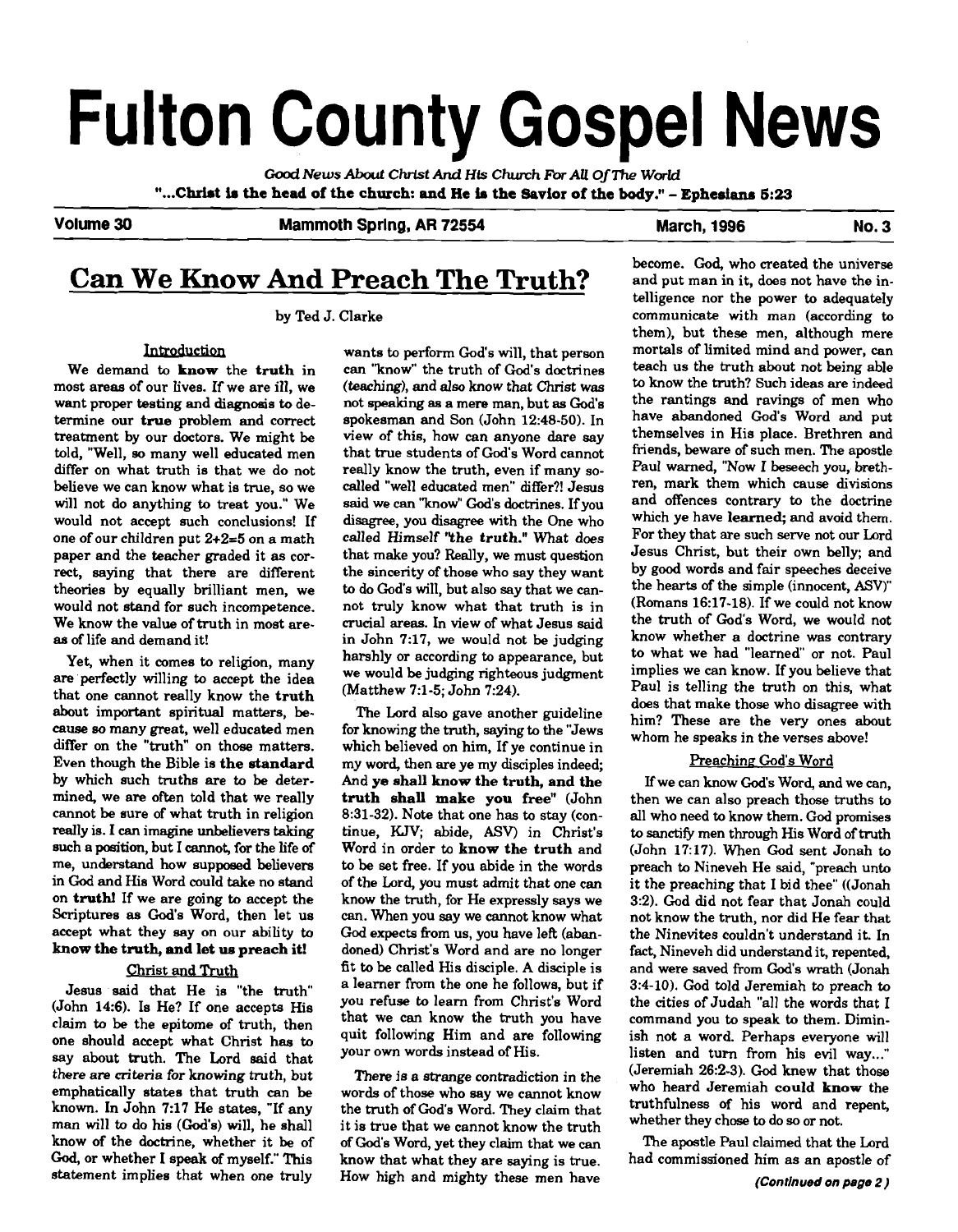# **Fulton County Gospel News**

**Cood** *News* **About Chrlst And Hk** *Church* **For AU** *OjThe* **World "...Christ is the head of the church: and He ia the Savior of the body."** - **Ephesians <sup>623</sup>**

#### Volume 30 Mammoth Spring, AR 72554 March, 1996 March, 1996

## **Can We Know And Preach The Truth?**

by Ted J. Clarke

#### Introduction

We demand to know the truth in most areas of our lives. If we are ill, we want proper testing and diagnosis to determine our true problem and correct treatment by our doctors. We might be told, "Well, **so** many well educated men differ on what truth is that we do not believe we can know what is true, so we will not do anything to treat you." We would not accept such conclusions! If one of our children put 2+2=5 on a math paper and the teacher graded it as correct, saying that there are different theories by equally brilliant men, we would not stand for such incompetence. We know the value of truth in most are**aa** of life and demand it!

Yet, when it comes to religion, many are'perfectly willing to accept the idea that one cannot really know the truth about important spiritual matters, because **so** many great, well educated men differ on the "truth" on those matters. Even though the Bible is the standard by which such truths are to be determined, we are often told that we really cannot be sure of what truth in religion really is. I can imagine unbelievers taking such a **position,** but I cannot, for the life of me, understand how supposed believers in **God** and His Word could take no stand on truth! If we are going to accept the Scriptures as God's Word, then let us accept what they say on our ability to know the truth, and let **ue** preach it!

#### **Christ and Truth**

Jesus said that He is "the truth"  $(John 14:6)$ . Is He? If one accepts His claim to be the epitome of truth, then one should accept what Christ has to say about truth. The Lord said that there are criteria for knowing truth, but emphatically states that truth can be known. In John 7:17 He states, "If any man will to do his (God's) will, he shall know of the doctrine, whether it be of **God,** or whether 1 speak **of** myself." This statement implies that when one truly

wants to perform God's will, that person can "know" the truth of God's doctrines (teaching), and **also** know that Christ was not **speaking an** a mere man, but **as** God's spokesman and Son (John 12:48-50). In view of this, how can anyone dare say that true students of God's Word cannot really know the truth, even if many socalled "well educated men" differ?! Jesus said we **can** ''know'' God's doctrines. If you disagree, you disagree with the One who called Himself **"the** truth." What does that make you? Really, we must question the sincerity of those who say they want to do God's will, but also say that we cannot truly know what that truth is in crucial areas. In view of what Jesus said in John 7:17, we would not be judging harshly or according to appearance, but we would be judgmg righteous judgment (Matthew **7:l-5;** John 7:24).

The Lord also gave another guideline for knowing the truth, saying to the "Jews which believed on him, If ye continue in my word, then are ye my disciples indeed; And **ye** shall know the truth, and the truth shall make you free" (John 8:31-32). Note that one has to stay (continue, KJV; abide, **ASV)** in Christ's Word in order to know the truth and to be set free. If you abide in the words of the Lord, you must admit that one can know the truth, for He expressly says we **can.** When you say we cannot know what **God** expects from us, you have left (abandoned) Christ's Word and are no longer fit to be called His disciple. A disciple is a learner from the one he follows, but if you refuse to learn from Christ's Word that we can know the truth you have quit following Him and are following your own words instead of His.

There is a strange contradiction in the words of those who say we cannot know the truth of God's Word. They claim that it is true that we cannot know the truth **of** God's Word, yet they claim that we can know that what they are saying is true. How high and mighty these men have

become. God, who created the universe and put man in it, does not have the intelligence nor the power to adequately communicate with man (according to them), but these men, although mere mortals of limited mind and power, can teach us the truth about not being able to know the truth? Such ideas are indeed the rantings and ravings of men who have abandoned God's Word and put themselves in His place. Brethren and friends, beware of such men. The apostle Paul warned, "Now I beseech you, brethren, mark them which cause divisions and offences contrary to the doctrine which ye have learned; and avoid them. For they that are such serve not our Lord Jesus Christ, but their own belly; and by **good** words and fair speeches deceive the hearts of the simple (innocent, **ASV)"**  (Romans 16:17-18). If we could not know the truth of God's Word, we would not know whether a doctrine was contrary to what we had "learned" or not. Paul implies we can know. If you believe that Paul is telling the truth on this, what does that make those who disagree with him? These are the very ones about whom he speaks in the verses above!

#### Preaching God's Word

If we can know God's Word, and we can, then we can also preach those truths to all who need to know them. **God** promises to **sanctify** men through His Word of truth (John 17:17). When God sent Jonah to preach to Nineveh He said, "preach unto it the preaching that I bid thee" ((Jonah 3:2). God did not fear that Jonah could not know the truth, nor did He fear that the Ninevites couldn't understand it. In fact, Nineveh did understand it, repented, and were saved from God's wrath (Jonah 3:4-10). God told Jeremiah **to** preach to the cities of Judah "all the words that I command you to speak to them. Diminish not a word. Perhaps everyone will listen and turn from his evil way..." (Jeremiah 26:2-3). **God** knew that those who heard Jeremiah could know the truthfulness of his word and repent, whether they chose to do so or not.

The apostle Paul claimed that the Lord had commissioned him as an apostle of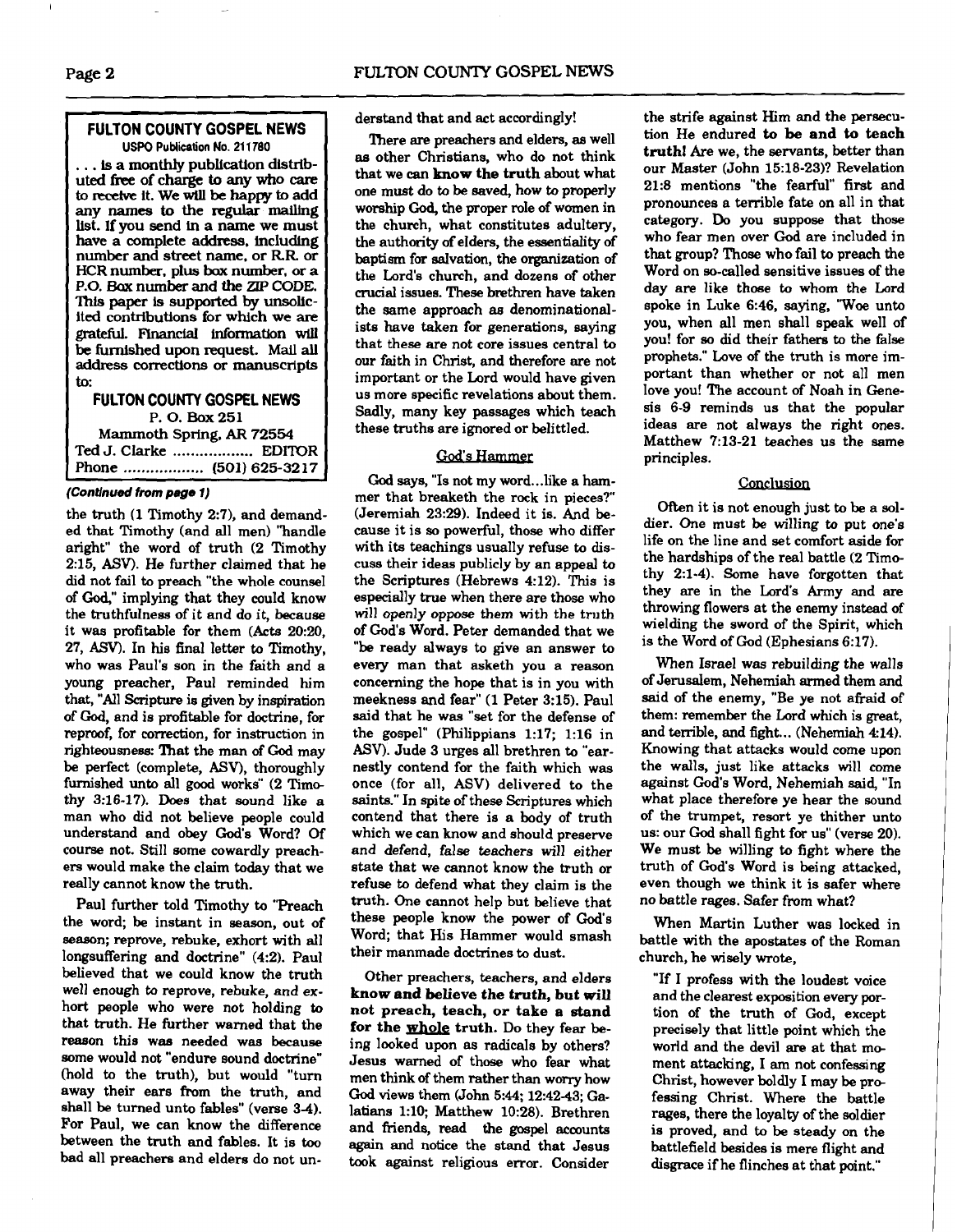#### **FULTON COUNTY GOSPEL NEWS USPO Publication No. 21 1700**

... **is a monthly publication dlstributed free of charge to any who care to receive it. We will be happy to add any names to the regular mailing kt. If you send in a name we must have a complete address. includlng number and street name. or RR or HCR number. plus box number,** or **a P.O.** Bax **number and the ZIP CODE.**  This **paper Is supported by unsolic**ited contributions for which we are grateful. Financial information will **be furnished upon request. Mail all address corrections or manuscripts to.** 

**FULTON COUNTY GOSPEL NEWS P. 0. Box 251 Mammoth Spring. AR 72554 Ted J. Clarke** .................. **EDITOR Phone** .................. **(501) 625-32 17** 

#### **(Contlnud from page 1)**

the truth (1 Timothy 2:7), and demanded that Timothy (and all men) "handle aright" the word of truth (2 Timothy 215, **ASV).** He further claimed that he did not fail to preach "the whole counsel of Gd," implying that they could know the truthfulness of it and do it, because it was profitable for them (Acts 20:20, 27, **ASV).** In his final letter to Timothy, who was Paul's son in the faith and a young preacher, Paul reminded him that, "All Scripture is given by inspiration of God, and is profitable for doctrine, for reproof, for correction, for instruction in righteousness: That the man of God may be perfect (complete, ASV), thoroughly furnished unto all good works" (2 Time thy 3:16-17). Does that sound like a man who did not believe people could understand and obey God's Word? Of course not. Still some cowardly preachers would make the claim today that we really cannot know the truth.

Paul further told Timothy to "Preach the word; be instant in season, out of season; reprove, rebuke, exhort with all longsuffering and doctrine" (4:2). Paul believed that we could know the truth well enough to reprove, rebuke, and exhort people who were not holding to that truth. He further warned that the reason this was needed was because some would not "endure sound doctrine" (hold to the truth), but would "turn away their ears from the truth, and shall be turned unto fables" (verse 3-4). For Paul, we can know the difference between the truth and fables. It is **too**  bad all preachers and elders do not understand that and act accordingly!

There **are** preachers and elders, **as** well as other Christians, who do not think that we **can know** the truth about what one must do to be saved, how to properly worship **God,** the proper role of women in the church, what constitutes adultery, the authority **of** elders, the essentiality of baptism for salvation, the organization of the Lord's church, and dozens of other crucial issues. These brethren have taken the same approach **as** denominationalists have taken for generations, saying that these are not core issues central to our faith in Christ, and therefore are not important or the Lord would have given us more specific revelations about them. Sadly, many key passages which teach these truths are ignored or belittled.

#### God's Hammer

God says, "Is not my word... like a hammer that breaketh the rock in pieces?" (Jeremiah 23:29). Indeed it is. And because it is so powerful, those who differ with its teachings usually refuse to discuss their ideas publicly **by** an appeal to the Scriptures (Hebrews 4:12). This is especially true when there are those who will openly oppose them with the truth of God's Word. Peter demanded that we "be ready always to give an answer to every man that asketh you a reason concerning the hope that is in you with meekness and fear" (1 Peter 3:15). Paul said that he was "set for the defense of the gospel" (Philippians 1:17; 1:16 in ASV). Jude 3 urges all brethren to "earnestly contend for the faith which was once (for all, **ASV)** delivered to the saints." In spite of these Scriptures which contend that there is a body of truth which we can **know** and should preserve and defend, false teachers will either state that we cannot know the truth or refuse to defend what they claim is the truth. One cannot help but believe that these people know the power of God's Word; that His Hammer would smash their manmade doctrines to dust.

Other preachers, teachers, and elders **know and** believe the truth, but will not preach, teach, or take **a stand**  for the whole truth. Do they fear being looked upon as radicals by others? Jesus warned of those who fear what men think of them rather than worry how God views them (John 5:44; 12:4243; Galatians 1:lO; Matthew 10:28). Brethren and friends, read the gospel accounts again and notice the stand that Jesus took against religious error. Consider

the strife against Him and the persecution He endured to be **and to** teach truth1 Are we, the servants, better than our Master (John 15:18-23)? Revelation 21:8 mentions "the fearful" first and pronounces a terrible fate on all in that category. Do you suppose that those who fear men over **God** are included in that group? Those who fail to preach the Word on so-called sensitive issues of the day are like those to whom the Lord spoke in Luke 6:46, saying, 'Woe unto you, when all men shall speak well of you! for so did their fathers to the false prophets." Love of the truth is more important than whether or not all men love you! The account of Noah in Genesis 6-9 reminds us that the popular ideas are not always the right ones. Matthew 7:13-21 teaches us the same principles.

#### Conclusion

Often it is not enough just to be a soldier. One must be willing to put one's life on the line and set comfort **aside** for the hardships of the real battle **(2** Timothy 2:l-4). Some have forgotten that they are in the Lord's Army and are throwing flowers at the enemy instead of wielding the sword of the Spirit, which is the Word of God (Ephesians 6:17).

When Israel was rebuilding the walls of Jerusalem, Nehemiah armed them and said of the enemy, "Be ye not afraid of them: remember the Lord which is great, and terrible, and fight... (Nehemiah 4:14). Knowing that attacks would come upon the walls, just like attacks will come against God's Word, Nehemiah **said,** "In what place therefore ye hear the sound of the trumpet, resort ye thither unto us: our **God** shall fight for us" (verse 20). We must be willing to fight where the truth of God's Word is being attacked, even though we think it is safer where no battle rages. Safer from what?

When Martin Luther was locked in battle with the apostates of the Roman church, he wisely wrote,

"If I profess with the loudest voice and the clearest exposition every portion of the truth of God, except precisely that little point which the world and the devil **are** at that me ment attacking, I am not confessing Christ, however boldly I may be professing Christ. Where the battle rages, there the loyalty of the soldier is proved, and to be steady on the battlefield besides is mere flight and disgrace if he flinches at that point."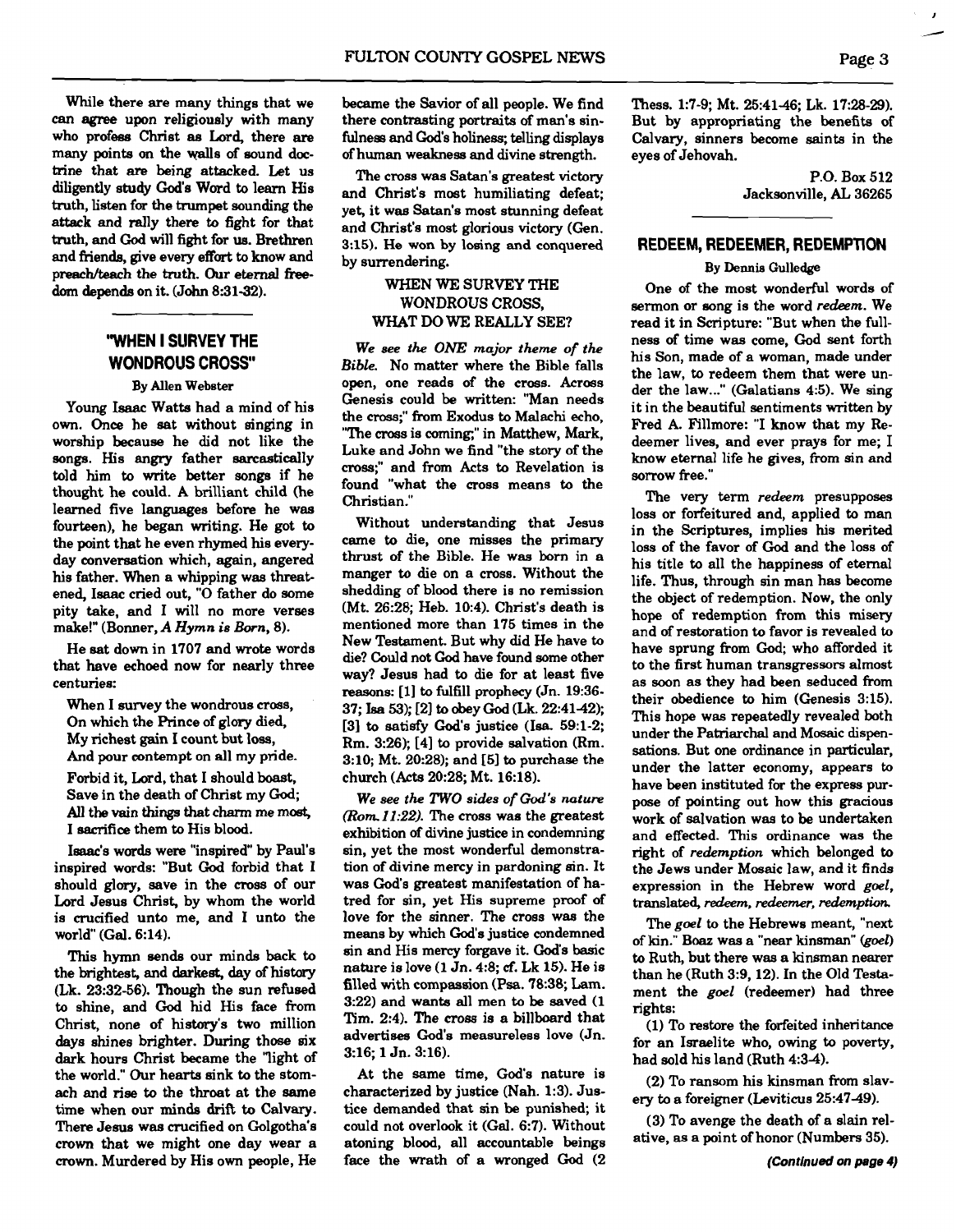While there are many things that we can **agree** upon religiously with many who profess Christ as Lord, there are many points on the walls of sound doc**trine** that **are** being attacked. Let us diligently study God's Word to learn His truth, listen for the trumpet sounding the attack and rally there **to** fight for that truth, and God will fight for **ue.** Brethren and friends, give every effart to know and preach/teach the truth. Our eternal freedom depends on it. (John 8:31-32).

### **"WHEN I SURVEY THE WONDROUS CROSS"**

#### By Allen Webeter

Young **Isaac** Watts had a mind of his own. **Once** he sat without singing in worship because he did not like the songs. His angry father sarcastically told him to write better songs if he thought he could. A brilliant child (he learned five languages before he was fourteen), he began writing. He got to the point that he even rhymed his everyday conversation which, again, angered his father. When a whipping was threat ened, Isaac cried out, "0 father do some pity take, and I will no more verses make!" (Bomer, **A** Hymn **is** Born, 8).

He sat down in 1707 and wrote words that have echoed now for nearly three centuries:

When I survey the wondrous cross, On which the Prince of glory died, My richest gain I count but loss, And pour contempt on all my pride.

Forbid it, Lord, that I should boast,

Save in the death of Christ my God; All the vain things that charm me most, I sacrifice them to His blood.

Isaac's words were "inspired" by Paul's inspired words: "But **God** forbid that I should glory, save in the cross of our Lord Jesus Christ, by whom the world is crucified unto me, and I unto the world" (Gal. 6:14).

This hymn sends our minds back to the brightest, and **darkest,** day of histary (Lk. 23:32-56). Though the sun refused to shine, and God hid His face from Christ, none of history's two million days shines brighter. During those six dark hours Christ became the "light of the world." Our hearts sink to the stomach and rise **to** the throat at the same time when our minds drift to Calvary. There Jesus was crucified on Golgotha's crown that we might one day wear a crown. Murdered by His own people, He

became the Savior of all people. We find there contrasting portraits of man's sinfulnees and God's holiness; telling displays of human weakness and divine strength.

The cross was Satan's greatest victory and Christ's most humiliating defeat; yet, it was Satan's most stunning defeat and Christ's most glorious victory (Gen. 3:15). He won by losing and conquered by surrendering.

#### WHEN WE SURVEY THE WONDROUS CROSS, WHAT DO **WE** REALLY SEE?

*We see the* **ONE** *major theme of the Bible.* No matter where the Bible falls open, one reads of the cross. Across Genesis could be written: "Man needs the cross;" from Exodus to Malachi echo, "The cross is coming," in Matthew, Mark, Luke and John we find "the story of the cross;" and from Acts to Revelation is found "what the cross means **to** the Christian."

Without understanding that Jesus came to die, one misses the primary thrust of the Bible. He was born in a manger to die on a cross. Without the shedding of blood there is no remission (Mt. 26:28; Heb. 10:4). Christ's death is mentioned more than 175 times in the New Testament. But why did He have to die? Could not Cod have found some other way? Jesus had to die for at least five reasons: [1] to fulfill prophecy (Jn. 19:36-37; **Isa** 53); [21 to obey God (Lk. 22:4142); [3] to satisfy God's justice (Isa. 59:l-2; Rm. 326); [4] to provide salvation (Rm. 3:10; Mt. 20:28); and  $[5]$  to purchase the church (Acts 20:28; Mt. 16:18).

*We see the TWO sides of* **God's** *nature (Rom.11:22)*. The cross was the greatest exhibition **of** divine justice in condemning sin, yet the most wonderful demonstration of divine mercy in pardoning sin. It was God's greatest manifestation of hatred for sin, yet His supreme proof of love for the sinner. The cross was the means by which God's justice condemned sin and His mercy forgave it. God's basic nature is love (1 Jn. 4:8; **cf.** Lk 15). He is filled with compassion **(Psa.** 78:38; Lam. 3:22) and wants all men to be saved (1 **Tim.** 2:4). The cross is a billboard that advertises God's measureless love (Jn. 3:16; 1 Jn. 3:16).

At the same time, God's nature is characterized by justice (Nah. 1:3). Justice demanded that sin be punished; it could not overlook it (Gal. 6:7). Without atoning blood, all accountable beings face the wrath of a wronged God (2 Thess. 1:7-9; Mt. 25:41-46; Lk. 17:28-29). But by appropriating the benefits of Calvary, sinners become saints in the eyes of Jehovah.

> P.O. Box 512 Jacksonville, **AL** 36265

#### **REDEEM, REDEEMER, REDEMPTION**

#### By **Dennis** Gulledge

One of the most wonderful words of sermon or song is the word *redeem.* We read it in Scripture: "But when the fullness of time was come, God sent forth his Son, made of a woman, made under the law, to redeem them that were under the law..." (Galatians 4:5). We sing it in the beautiful sentiments written by Fred A. Fillmore: "I know that my Redeemer lives, and ever prays for me; I know eternal life he gives, from sin and sorrow free."

The very term *redeem* presupposes loss or forfeitured and, applied to man in the Scriptures, implies his merited loss of the favor of God and the loss of his title to all the happiness of eternal life. Thus, through sin man has become the object of redemption. Now, the only hope of redemption from this misery and **of** restoration to favor is revealed to have sprung from God; who afforded it to the first human transgressors almost as soon as they had been seduced from their obedience to him (Genesis 3:15). This hope was repeatedly revealed both under the Patriarchal and Mosaic dispensations. But one ordinance in particular, under the latter economy, appears to have been instituted for the express purpose of pointing out how this gracious work of salvation was to be undertaken and effected. This ordinance was the right of *redemption* which belonged to the Jews under Mosaic law, and it finds expression in the Hebrew word goel, translated, redeem, *redeemer, redemption* 

The *goel* to the Hebrews meant, "next of kin." Boaz was a "near kinsman" *(goel)*  to Ruth, but there was a kinsman nearer than he (Ruth 3:9,12). In the Old Testament the goel (redeemer) had three rights:

(1) To restore the forfeited inheritance for an Israelite who, owing to poverty, had sold his land (Ruth 4:34).

(2) To ransom his kinsman from slavery to a foreigner (Leviticus 25:4749).

(3) To avenge the death of a slain relative, **as** a point of honor (Numbers 35).